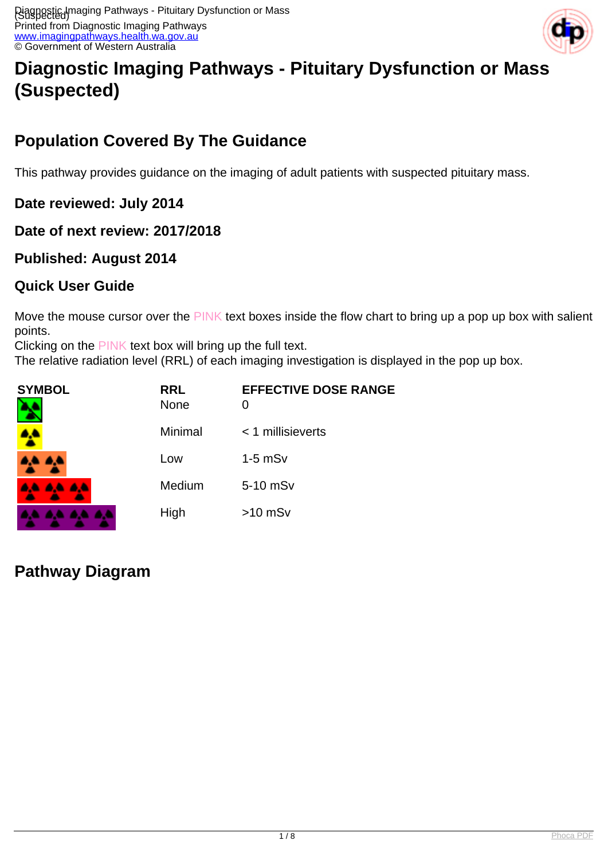

# **Diagnostic Imaging Pathways - Pituitary Dysfunction or Mass (Suspected)**

# **Population Covered By The Guidance**

This pathway provides guidance on the imaging of adult patients with suspected pituitary mass.

## **Date reviewed: July 2014**

## **Date of next review: 2017/2018**

## **Published: August 2014**

## **Quick User Guide**

Move the mouse cursor over the PINK text boxes inside the flow chart to bring up a pop up box with salient points.

Clicking on the PINK text box will bring up the full text.

The relative radiation level (RRL) of each imaging investigation is displayed in the pop up box.

| SYMBOL          | <b>RRL</b><br>None | <b>EFFECTIVE DOSE RANGE</b><br>O |
|-----------------|--------------------|----------------------------------|
| 4               | Minimal            | $<$ 1 millisieverts              |
| 4,4 A,4         | Low                | $1-5$ mS $v$                     |
| <b>AA AA AA</b> | Medium             | 5-10 mSv                         |
| .               | High               | $>10$ mSv                        |

## **Pathway Diagram**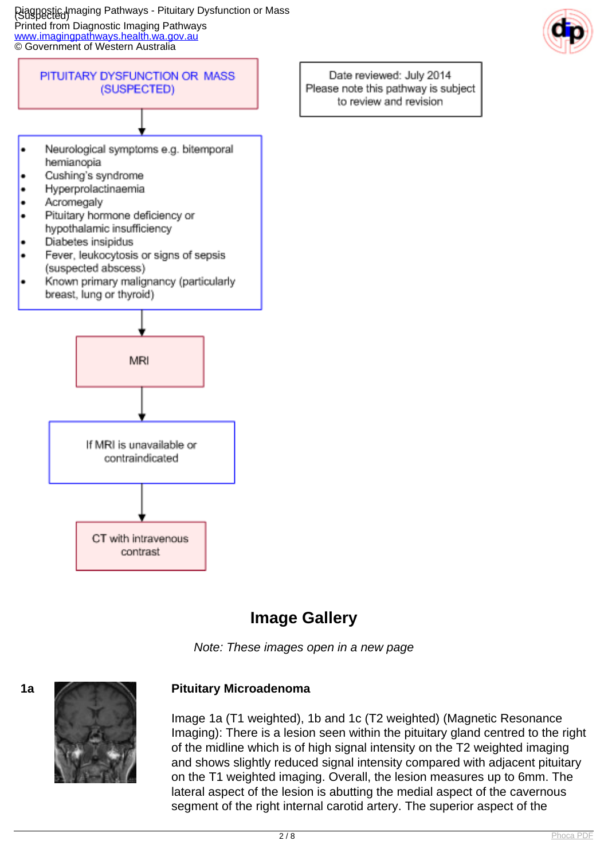Piagnostic Imaging Pathways - Pituitary Dysfunction or Mass Printed from Diagnostic Imaging Pathways [www.imagingpathways.health.wa.gov.au](http://www.imagingpathways.health.wa.gov.au/) © Government of Western Australia



Date reviewed: July 2014 Please note this pathway is subject to review and revision

## **Image Gallery**

Note: These images open in a new page



#### **1a Pituitary Microadenoma**

Image 1a (T1 weighted), 1b and 1c (T2 weighted) (Magnetic Resonance Imaging): There is a lesion seen within the pituitary gland centred to the right of the midline which is of high signal intensity on the T2 weighted imaging and shows slightly reduced signal intensity compared with adjacent pituitary on the T1 weighted imaging. Overall, the lesion measures up to 6mm. The lateral aspect of the lesion is abutting the medial aspect of the cavernous segment of the right internal carotid artery. The superior aspect of the

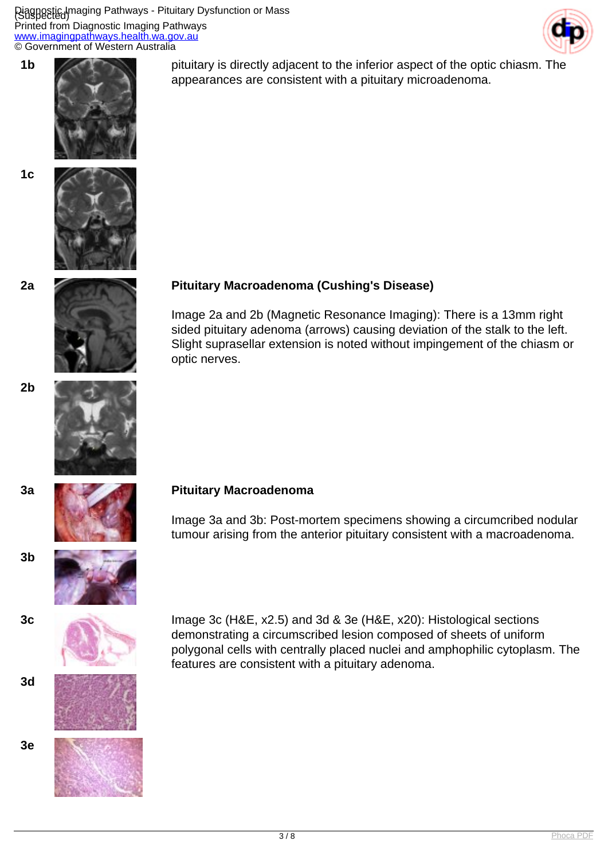Piagnostic Imaging Pathways - Pituitary Dysfunction or Mass Printed from Diagnostic Imaging Pathways [www.imagingpathways.health.wa.gov.au](http://www.imagingpathways.health.wa.gov.au/) © Government of Western Australia





pituitary is directly adjacent to the inferior aspect of the optic chiasm. The appearances are consistent with a pituitary microadenoma.



## **2a Pituitary Macroadenoma (Cushing's Disease)**

Image 2a and 2b (Magnetic Resonance Imaging): There is a 13mm right sided pituitary adenoma (arrows) causing deviation of the stalk to the left. Slight suprasellar extension is noted without impingement of the chiasm or optic nerves.



**1b**

**1c**



**3b**

**3d**

**3e**

#### **3a Pituitary Macroadenoma**

Image 3a and 3b: Post-mortem specimens showing a circumcribed nodular tumour arising from the anterior pituitary consistent with a macroadenoma.







**3c** Image 3c (H&E, x2.5) and 3d & 3e (H&E, x20): Histological sections demonstrating a circumscribed lesion composed of sheets of uniform polygonal cells with centrally placed nuclei and amphophilic cytoplasm. The features are consistent with a pituitary adenoma.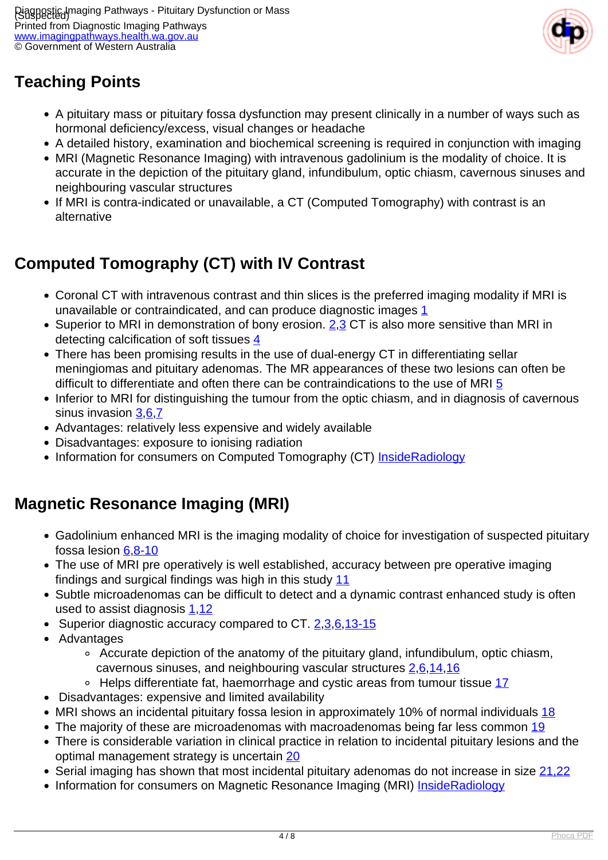

# **Teaching Points**

- A pituitary mass or pituitary fossa dysfunction may present clinically in a number of ways such as hormonal deficiency/excess, visual changes or headache
- A detailed history, examination and biochemical screening is required in conjunction with imaging
- MRI (Magnetic Resonance Imaging) with intravenous gadolinium is the modality of choice. It is accurate in the depiction of the pituitary gland, infundibulum, optic chiasm, cavernous sinuses and neighbouring vascular structures
- If MRI is contra-indicated or unavailable, a CT (Computed Tomography) with contrast is an alternative

# **Computed Tomography (CT) with IV Contrast**

- Coronal CT with intravenous contrast and thin slices is the preferred imaging modality if MRI is unavailable or contraindicated, and can produce diagnostic images [1](index.php?option=com_content&view=article&id=82&tab=references#1)
- Superior to MRI in demonstration of bony erosion. [2](index.php?option=com_content&view=article&id=82&tab=references#2)[,3](index.php?option=com_content&view=article&id=82&tab=references#3) CT is also more sensitive than MRI in detecting calcification of soft tissues [4](index.php?option=com_content&view=article&id=82&tab=references#4)
- There has been promising results in the use of dual-energy CT in differentiating sellar meningiomas and pituitary adenomas. The MR appearances of these two lesions can often be difficult to differentiate and often there can be contraindications to the use of MRI [5](index.php?option=com_content&view=article&id=82&tab=references#5)
- Inferior to MRI for distinguishing the tumour from the optic chiasm, and in diagnosis of cavernous sinus invasion [3,](index.php?option=com_content&view=article&id=82&tab=references#3)[6,](index.php?option=com_content&view=article&id=82&tab=references#6)[7](index.php?option=com_content&view=article&id=82&tab=references#7)
- Advantages: relatively less expensive and widely available
- Disadvantages: exposure to ionising radiation
- Information for consumers on Computed Tomography (CT) [InsideRadiology](http://insideradiology.com.au/pages/view.php?T_id=61#.U6pHdnbc-ec)

# **Magnetic Resonance Imaging (MRI)**

- Gadolinium enhanced MRI is the imaging modality of choice for investigation of suspected pituitary fossa lesion [6,](index.php?option=com_content&view=article&id=82&tab=references#6)[8-10](index.php?option=com_content&view=article&id=82&tab=references#8)
- The use of MRI pre operatively is well established, accuracy between pre operative imaging findings and surgical findings was high in this study [11](index.php?option=com_content&view=article&id=82&tab=references#11)
- Subtle microadenomas can be difficult to detect and a dynamic contrast enhanced study is often used to assist diagnosis [1,](index.php?option=com_content&view=article&id=82&tab=references#1)[12](index.php?option=com_content&view=article&id=82&tab=references#12)
- Superior diagnostic accuracy compared to CT. [2](index.php?option=com_content&view=article&id=82&tab=references#2),[3](index.php?option=com_content&view=article&id=82&tab=references#3),[6](index.php?option=com_content&view=article&id=82&tab=references#6),[13-15](index.php?option=com_content&view=article&id=82&tab=references#4)
- Advantages
	- Accurate depiction of the anatomy of the pituitary gland, infundibulum, optic chiasm, cavernous sinuses, and neighbouring vascular structures  $2,6,14,16$  $2,6,14,16$  $2,6,14,16$  $2,6,14,16$
	- $\circ$  Helps differentiate fat, haemorrhage and cystic areas from tumour tissue [17](index.php?option=com_content&view=article&id=82&tab=references#17)
- Disadvantages: expensive and limited availability
- MRI shows an incidental pituitary fossa lesion in approximately 10% of normal individuals [18](index.php?option=com_content&view=article&id=82&tab=references#18)
- The majority of these are microadenomas with macroadenomas being far less common [19](index.php?option=com_content&view=article&id=82&tab=references#19)
- There is considerable variation in clinical practice in relation to incidental pituitary lesions and the optimal management strategy is uncertain [20](index.php?option=com_content&view=article&id=82&tab=references#20)
- Serial imaging has shown that most incidental pituitary adenomas do not increase in size [21,22](index.php?option=com_content&view=article&id=82&tab=references#21)
- Information for consumers on Magnetic Resonance Imaging (MRI) [InsideRadiology](http://insideradiology.com.au/pages/view.php?T_id=53#.U6pISnbc-ec)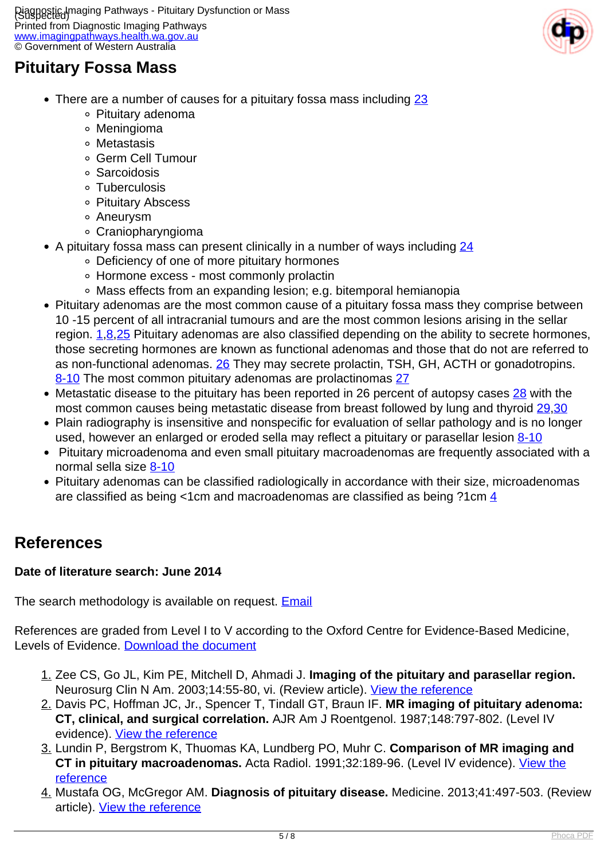Piagnostic Imaging Pathways - Pituitary Dysfunction or Mass Printed from Diagnostic Imaging Pathways [www.imagingpathways.health.wa.gov.au](http://www.imagingpathways.health.wa.gov.au/) © Government of Western Australia

## **Pituitary Fossa Mass**

- There are a number of causes for a pituitary fossa mass including [23](index.php?option=com_content&view=article&id=82&tab=references#23)
	- Pituitary adenoma
	- Meningioma
	- Metastasis
	- Germ Cell Tumour
	- Sarcoidosis
	- Tuberculosis
	- Pituitary Abscess
	- Aneurysm
	- Craniopharyngioma
- A pituitary fossa mass can present clinically in a number of ways including [24](index.php?option=com_content&view=article&id=82&tab=references#24)
	- Deficiency of one of more pituitary hormones
	- Hormone excess most commonly prolactin
	- Mass effects from an expanding lesion; e.g. bitemporal hemianopia
- Pituitary adenomas are the most common cause of a pituitary fossa mass they comprise between 10 -15 percent of all intracranial tumours and are the most common lesions arising in the sellar region.  $1,8,25$  $1,8,25$  $1,8,25$  Pituitary adenomas are also classified depending on the ability to secrete hormones, those secreting hormones are known as functional adenomas and those that do not are referred to as non-functional adenomas. [26](index.php?option=com_content&view=article&id=82&tab=references#26) They may secrete prolactin, TSH, GH, ACTH or gonadotropins. [8-10](index.php?option=com_content&view=article&id=82&tab=references#8) The most common pituitary adenomas are prolactinomas [27](index.php?option=com_content&view=article&id=82&tab=references#27)
- Metastatic disease to the pituitary has been reported in 26 percent of autopsy cases [28](index.php?option=com_content&view=article&id=82&tab=references#28) with the most common causes being metastatic disease from breast followed by lung and thyroid [29](index.php?option=com_content&view=article&id=82&tab=references#29)[,30](index.php?option=com_content&view=article&id=82&tab=references#30)
- Plain radiography is insensitive and nonspecific for evaluation of sellar pathology and is no longer used, however an enlarged or eroded sella may reflect a pituitary or parasellar lesion [8-10](index.php?option=com_content&view=article&id=82&tab=references#8)
- Pituitary microadenoma and even small pituitary macroadenomas are frequently associated with a normal sella size [8-10](index.php?option=com_content&view=article&id=82&tab=references#8)
- Pituitary adenomas can be classified radiologically in accordance with their size, microadenomas are classified as being <1cm and macroadenomas are classified as being ?1cm  $\frac{4}{5}$

## **References**

#### **Date of literature search: June 2014**

The search methodology is available on request. **[Email](index.php/contact-us)** 

References are graded from Level I to V according to the Oxford Centre for Evidence-Based Medicine, Levels of Evidence. [Download the document](http://www.cebm.net/wp-content/uploads/2014/06/CEBM-Levels-of-Evidence-2.1.pdf)

- 1. Zee CS, Go JL, Kim PE, Mitchell D, Ahmadi J. **Imaging of the pituitary and parasellar region.** Neurosurg Clin N Am. 2003;14:55-80, vi. (Review article). [View the reference](http://www.ncbi.nlm.nih.gov/pubmed/12690979)
- 2. Davis PC, Hoffman JC, Jr., Spencer T, Tindall GT, Braun IF. **MR imaging of pituitary adenoma: CT, clinical, and surgical correlation.** AJR Am J Roentgenol. 1987;148:797-802. (Level IV evidence). [View the reference](http://www.ncbi.nlm.nih.gov/pubmed/3030083)
- 3. Lundin P, Bergstrom K, Thuomas KA, Lundberg PO, Muhr C. **Comparison of MR imaging and CT in pituitary macroadenomas.** Acta Radiol. 1991;32:189-96. (Level IV evidence). [View the](http://www.ncbi.nlm.nih.gov/pubmed/2064861) [reference](http://www.ncbi.nlm.nih.gov/pubmed/2064861)
- 4. Mustafa OG, McGregor AM. **Diagnosis of pituitary disease.** Medicine. 2013;41:497-503. (Review article). [View the reference](http://www.sciencedirect.com/science/article/pii/S1357303913001928)



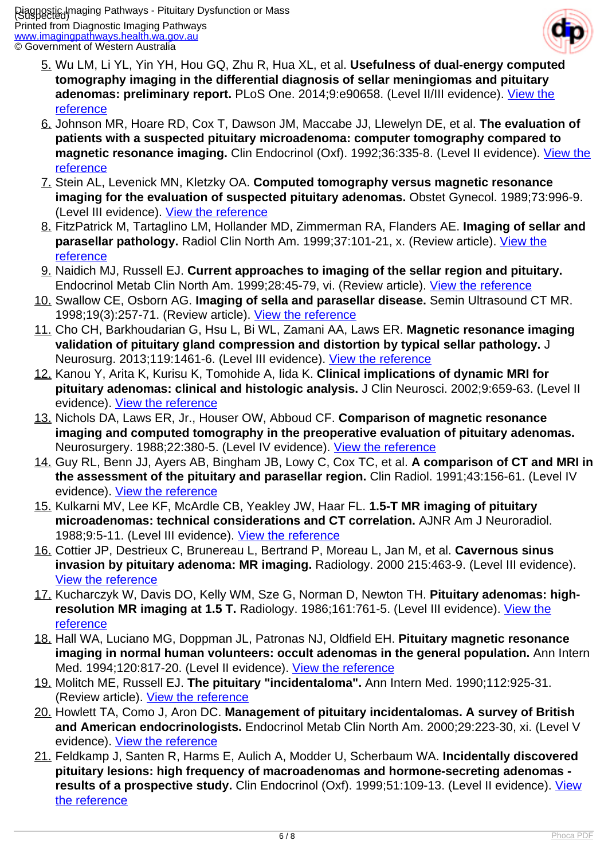

- 5. Wu LM, Li YL, Yin YH, Hou GQ, Zhu R, Hua XL, et al. **Usefulness of dual-energy computed tomography imaging in the differential diagnosis of sellar meningiomas and pituitary adenomas: preliminary report.** PLoS One. 2014;9:e90658. (Level II/III evidence). [View the](http://www.ncbi.nlm.nih.gov/pubmed/24594782) [reference](http://www.ncbi.nlm.nih.gov/pubmed/24594782)
- 6. Johnson MR, Hoare RD, Cox T, Dawson JM, Maccabe JJ, Llewelyn DE, et al. **The evaluation of patients with a suspected pituitary microadenoma: computer tomography compared to magnetic resonance imaging.** Clin Endocrinol (Oxf). 1992;36:335-8. (Level II evidence). [View the](http://www.ncbi.nlm.nih.gov/pubmed/1424165) [reference](http://www.ncbi.nlm.nih.gov/pubmed/1424165)
- 7. Stein AL, Levenick MN, Kletzky OA. **Computed tomography versus magnetic resonance imaging for the evaluation of suspected pituitary adenomas.** Obstet Gynecol. 1989;73:996-9. (Level III evidence). [View the reference](http://www.ncbi.nlm.nih.gov/pubmed/2726120)
- 8. FitzPatrick M, Tartaglino LM, Hollander MD, Zimmerman RA, Flanders AE. **Imaging of sellar and parasellar pathology.** Radiol Clin North Am. 1999;37:101-21, x. (Review article). [View the](http://www.ncbi.nlm.nih.gov/pubmed/10026732) [reference](http://www.ncbi.nlm.nih.gov/pubmed/10026732)
- 9. Naidich MJ, Russell EJ. **Current approaches to imaging of the sellar region and pituitary.** Endocrinol Metab Clin North Am. 1999;28:45-79, vi. (Review article). [View the reference](http://www.ncbi.nlm.nih.gov/pubmed/10207685)
- 10. Swallow CE, Osborn AG. **Imaging of sella and parasellar disease.** Semin Ultrasound CT MR. 1998;19(3):257-71. (Review article). [View the reference](http://www.ncbi.nlm.nih.gov/pubmed/9686688)
- 11. Cho CH, Barkhoudarian G, Hsu L, Bi WL, Zamani AA, Laws ER. **Magnetic resonance imaging validation of pituitary gland compression and distortion by typical sellar pathology.** J Neurosurg. 2013;119:1461-6. (Level III evidence). [View the reference](http://www.ncbi.nlm.nih.gov/pubmed/24032703)
- 12. Kanou Y, Arita K, Kurisu K, Tomohide A, Iida K. **Clinical implications of dynamic MRI for pituitary adenomas: clinical and histologic analysis.** J Clin Neurosci. 2002;9:659-63. (Level II evidence). [View the reference](http://www.ncbi.nlm.nih.gov/pubmed/12604278)
- 13. Nichols DA, Laws ER, Jr., Houser OW, Abboud CF. **Comparison of magnetic resonance imaging and computed tomography in the preoperative evaluation of pituitary adenomas.** Neurosurgery. 1988;22:380-5. (Level IV evidence). [View the reference](http://www.ncbi.nlm.nih.gov/pubmed/2832783)
- 14. Guy RL, Benn JJ, Ayers AB, Bingham JB, Lowy C, Cox TC, et al. **A comparison of CT and MRI in the assessment of the pituitary and parasellar region.** Clin Radiol. 1991;43:156-61. (Level IV evidence). [View the reference](http://www.ncbi.nlm.nih.gov/pubmed/2013189)
- 15. Kulkarni MV, Lee KF, McArdle CB, Yeakley JW, Haar FL. **1.5-T MR imaging of pituitary microadenomas: technical considerations and CT correlation.** AJNR Am J Neuroradiol. 1988;9:5-11. (Level III evidence). [View the reference](http://www.ncbi.nlm.nih.gov/pubmed/3124586)
- 16. Cottier JP, Destrieux C, Brunereau L, Bertrand P, Moreau L, Jan M, et al. **Cavernous sinus invasion by pituitary adenoma: MR imaging.** Radiology. 2000 215:463-9. (Level III evidence). [View the reference](http://www.ncbi.nlm.nih.gov/pubmed/10796926)
- 17. Kucharczyk W, Davis DO, Kelly WM, Sze G, Norman D, Newton TH. **Pituitary adenomas: highresolution MR imaging at 1.5 T.** Radiology. 1986;161:761-5. (Level III evidence). [View the](http://www.ncbi.nlm.nih.gov/pubmed/3786729) [reference](http://www.ncbi.nlm.nih.gov/pubmed/3786729)
- 18. Hall WA, Luciano MG, Doppman JL, Patronas NJ, Oldfield EH. **Pituitary magnetic resonance imaging in normal human volunteers: occult adenomas in the general population.** Ann Intern Med. 1994;120:817-20. (Level II evidence). [View the reference](http://www.ncbi.nlm.nih.gov/pubmed/8154641)
- 19. Molitch ME, Russell EJ. **The pituitary "incidentaloma".** Ann Intern Med. 1990;112:925-31. (Review article). [View the reference](http://www.ncbi.nlm.nih.gov/pubmed/2187392)
- 20. Howlett TA, Como J, Aron DC. **Management of pituitary incidentalomas. A survey of British and American endocrinologists.** Endocrinol Metab Clin North Am. 2000;29:223-30, xi. (Level V evidence). [View the reference](http://www.ncbi.nlm.nih.gov/pubmed/10732273)
- 21. Feldkamp J, Santen R, Harms E, Aulich A, Modder U, Scherbaum WA. **Incidentally discovered pituitary lesions: high frequency of macroadenomas and hormone-secreting adenomas results of a prospective study.** Clin Endocrinol (Oxf). 1999;51:109-13. (Level II evidence). [View](http://www.ncbi.nlm.nih.gov/pubmed/10469480) [the reference](http://www.ncbi.nlm.nih.gov/pubmed/10469480)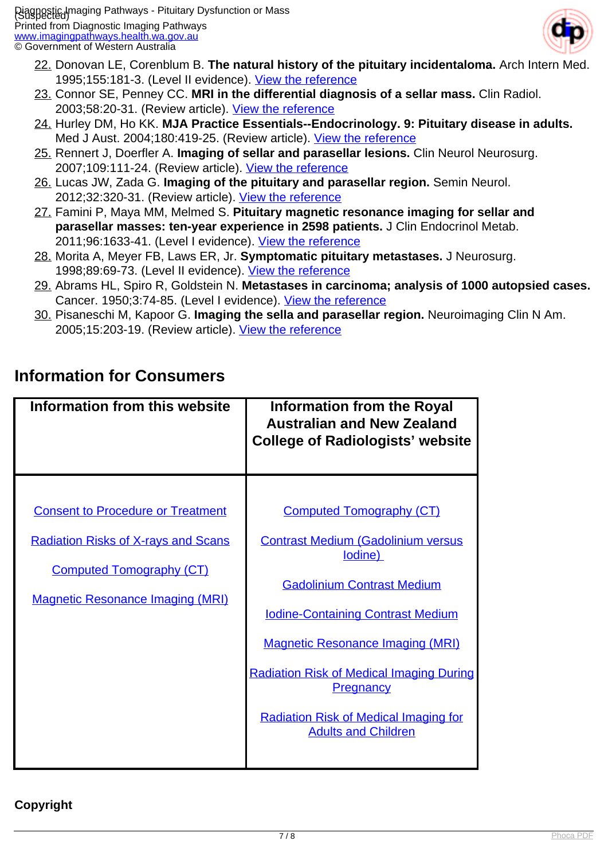

- 22. Donovan LE, Corenblum B. **The natural history of the pituitary incidentaloma.** Arch Intern Med. 1995;155:181-3. (Level II evidence). [View the reference](http://www.ncbi.nlm.nih.gov/pubmed/7811127)
- 23. Connor SE, Penney CC. **MRI in the differential diagnosis of a sellar mass.** Clin Radiol. 2003;58:20-31. (Review article). [View the reference](http://www.ncbi.nlm.nih.gov/pubmed/12565204)
- 24. Hurley DM, Ho KK. **MJA Practice Essentials--Endocrinology. 9: Pituitary disease in adults.** Med J Aust. 2004;180:419-25. (Review article). [View the reference](http://www.ncbi.nlm.nih.gov/pubmed/15089738)
- 25. Rennert J, Doerfler A. **Imaging of sellar and parasellar lesions.** Clin Neurol Neurosurg. 2007;109:111-24. (Review article). [View the reference](http://www.ncbi.nlm.nih.gov/pubmed/17126479)
- 26. Lucas JW, Zada G. **Imaging of the pituitary and parasellar region.** Semin Neurol. 2012;32:320-31. (Review article). [View the reference](http://www.ncbi.nlm.nih.gov/pubmed/23361479)
- 27. Famini P, Maya MM, Melmed S. **Pituitary magnetic resonance imaging for sellar and parasellar masses: ten-year experience in 2598 patients.** J Clin Endocrinol Metab. 2011;96:1633-41. (Level I evidence). [View the reference](http://www.ncbi.nlm.nih.gov/pubmed/21470998)
- 28. Morita A, Meyer FB, Laws ER, Jr. **Symptomatic pituitary metastases.** J Neurosurg. 1998;89:69-73. (Level II evidence). [View the reference](http://www.ncbi.nlm.nih.gov/pubmed/9647174)
- 29. Abrams HL, Spiro R, Goldstein N. **Metastases in carcinoma; analysis of 1000 autopsied cases.** Cancer. 1950;3:74-85. (Level I evidence). [View the reference](http://www.ncbi.nlm.nih.gov/pubmed/15405683)
- 30. Pisaneschi M, Kapoor G. **Imaging the sella and parasellar region.** Neuroimaging Clin N Am. 2005;15:203-19. (Review article). [View the reference](http://www.ncbi.nlm.nih.gov/pubmed/15927868)

## **Information for Consumers**

| Information from this website                                                                                                                                        | Information from the Royal<br><b>Australian and New Zealand</b><br><b>College of Radiologists' website</b>                                                                                                                                                                                                                                                               |
|----------------------------------------------------------------------------------------------------------------------------------------------------------------------|--------------------------------------------------------------------------------------------------------------------------------------------------------------------------------------------------------------------------------------------------------------------------------------------------------------------------------------------------------------------------|
| <b>Consent to Procedure or Treatment</b><br><b>Radiation Risks of X-rays and Scans</b><br><b>Computed Tomography (CT)</b><br><b>Magnetic Resonance Imaging (MRI)</b> | <b>Computed Tomography (CT)</b><br><b>Contrast Medium (Gadolinium versus</b><br>lodine)<br><b>Gadolinium Contrast Medium</b><br><b>Iodine-Containing Contrast Medium</b><br><b>Magnetic Resonance Imaging (MRI)</b><br><b>Radiation Risk of Medical Imaging During</b><br><b>Pregnancy</b><br><b>Radiation Risk of Medical Imaging for</b><br><b>Adults and Children</b> |

## **Copyright**